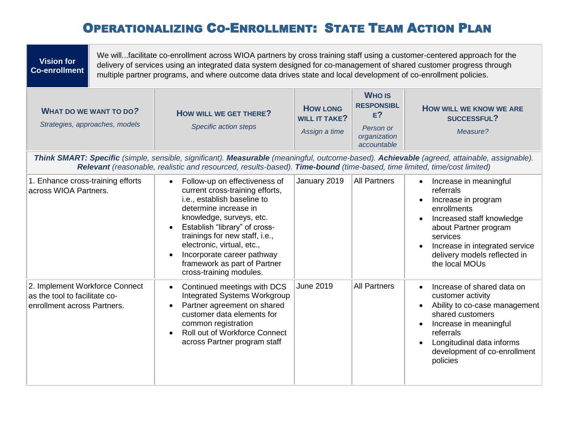## OPERATIONALIZING CO-ENROLLMENT: STATE TEAM ACTION PLAN

| <b>Vision for</b><br><b>Co-enrollment</b>                                                                                                                                                                                                                              | We willfacilitate co-enrollment across WIOA partners by cross training staff using a customer-centered approach for the<br>delivery of services using an integrated data system designed for co-management of shared customer progress through<br>multiple partner programs, and where outcome data drives state and local development of co-enrollment policies. |                                                                                                                                                                                                                                                                                                                                                             |                                                          |                                                                                         |                                                                                                                                                                                                                                              |  |  |  |
|------------------------------------------------------------------------------------------------------------------------------------------------------------------------------------------------------------------------------------------------------------------------|-------------------------------------------------------------------------------------------------------------------------------------------------------------------------------------------------------------------------------------------------------------------------------------------------------------------------------------------------------------------|-------------------------------------------------------------------------------------------------------------------------------------------------------------------------------------------------------------------------------------------------------------------------------------------------------------------------------------------------------------|----------------------------------------------------------|-----------------------------------------------------------------------------------------|----------------------------------------------------------------------------------------------------------------------------------------------------------------------------------------------------------------------------------------------|--|--|--|
| <b>WHAT DO WE WANT TO DO?</b><br>Strategies, approaches, models                                                                                                                                                                                                        |                                                                                                                                                                                                                                                                                                                                                                   | HOW WILL WE GET THERE?<br>Specific action steps                                                                                                                                                                                                                                                                                                             | <b>HOW LONG</b><br><b>WILL IT TAKE?</b><br>Assign a time | <b>WHO IS</b><br><b>RESPONSIBL</b><br>$E$ ?<br>Person or<br>organization<br>accountable | <b>HOW WILL WE KNOW WE ARE</b><br><b>SUCCESSFUL?</b><br>Measure?                                                                                                                                                                             |  |  |  |
| Think SMART: Specific (simple, sensible, significant). Measurable (meaningful, outcome-based). Achievable (agreed, attainable, assignable).<br>Relevant (reasonable, realistic and resourced, results-based). Time-bound (time-based, time limited, time/cost limited) |                                                                                                                                                                                                                                                                                                                                                                   |                                                                                                                                                                                                                                                                                                                                                             |                                                          |                                                                                         |                                                                                                                                                                                                                                              |  |  |  |
| 1. Enhance cross-training efforts<br>across WIOA Partners.                                                                                                                                                                                                             |                                                                                                                                                                                                                                                                                                                                                                   | Follow-up on effectiveness of<br>$\bullet$<br>current cross-training efforts,<br>i.e., establish baseline to<br>determine increase in<br>knowledge, surveys, etc.<br>Establish "library" of cross-<br>trainings for new staff, i.e.,<br>electronic, virtual, etc.,<br>Incorporate career pathway<br>framework as part of Partner<br>cross-training modules. | January 2019                                             | <b>All Partners</b>                                                                     | Increase in meaningful<br>$\bullet$<br>referrals<br>Increase in program<br>enrollments<br>Increased staff knowledge<br>about Partner program<br>services<br>Increase in integrated service<br>delivery models reflected in<br>the local MOUs |  |  |  |
| 2. Implement Workforce Connect<br>as the tool to facilitate co-<br>enrollment across Partners.                                                                                                                                                                         |                                                                                                                                                                                                                                                                                                                                                                   | Continued meetings with DCS<br>$\bullet$<br><b>Integrated Systems Workgroup</b><br>Partner agreement on shared<br>customer data elements for<br>common registration<br><b>Roll out of Workforce Connect</b><br>across Partner program staff                                                                                                                 | June 2019                                                | <b>All Partners</b>                                                                     | Increase of shared data on<br>$\bullet$<br>customer activity<br>Ability to co-case management<br>shared customers<br>Increase in meaningful<br>referrals<br>Longitudinal data informs<br>development of co-enrollment<br>policies            |  |  |  |